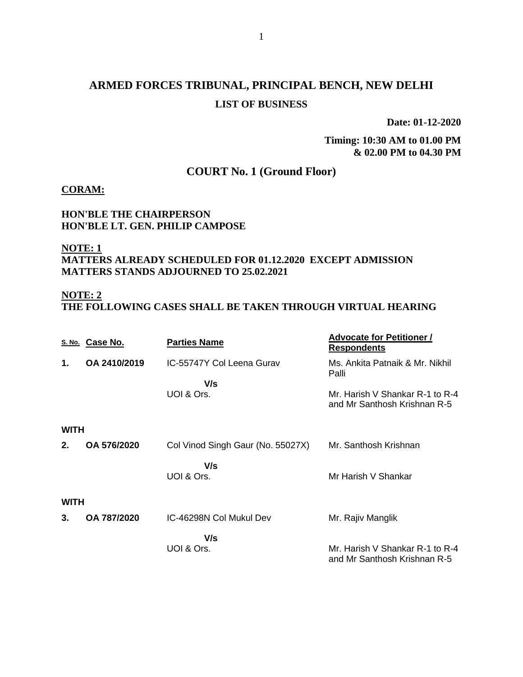# **ARMED FORCES TRIBUNAL, PRINCIPAL BENCH, NEW DELHI LIST OF BUSINESS**

**Date: 01-12-2020**

**Timing: 10:30 AM to 01.00 PM & 02.00 PM to 04.30 PM**

# **COURT No. 1 (Ground Floor)**

#### **CORAM:**

#### **HON'BLE THE CHAIRPERSON HON'BLE LT. GEN. PHILIP CAMPOSE**

#### **NOTE: 1 MATTERS ALREADY SCHEDULED FOR 01.12.2020 EXCEPT ADMISSION MATTERS STANDS ADJOURNED TO 25.02.2021**

### **NOTE: 2**

**THE FOLLOWING CASES SHALL BE TAKEN THROUGH VIRTUAL HEARING**

|             | S. No. Case No. | <b>Parties Name</b>               | <b>Advocate for Petitioner /</b><br><b>Respondents</b>          |  |
|-------------|-----------------|-----------------------------------|-----------------------------------------------------------------|--|
| 1.          | OA 2410/2019    | IC-55747Y Col Leena Gurav         | Ms. Ankita Patnaik & Mr. Nikhil<br>Palli                        |  |
|             |                 | V/s                               |                                                                 |  |
|             |                 | UOI & Ors.                        | Mr. Harish V Shankar R-1 to R-4<br>and Mr Santhosh Krishnan R-5 |  |
| <b>WITH</b> |                 |                                   |                                                                 |  |
| 2.          | OA 576/2020     | Col Vinod Singh Gaur (No. 55027X) | Mr. Santhosh Krishnan                                           |  |
|             |                 | V/s                               |                                                                 |  |
|             |                 | UOI & Ors.                        | Mr Harish V Shankar                                             |  |
| <b>WITH</b> |                 |                                   |                                                                 |  |
| 3.          | OA 787/2020     | IC-46298N Col Mukul Dev           | Mr. Rajiv Manglik                                               |  |
|             |                 | V/s                               |                                                                 |  |
|             |                 | UOI & Ors.                        | Mr. Harish V Shankar R-1 to R-4<br>and Mr Santhosh Krishnan R-5 |  |